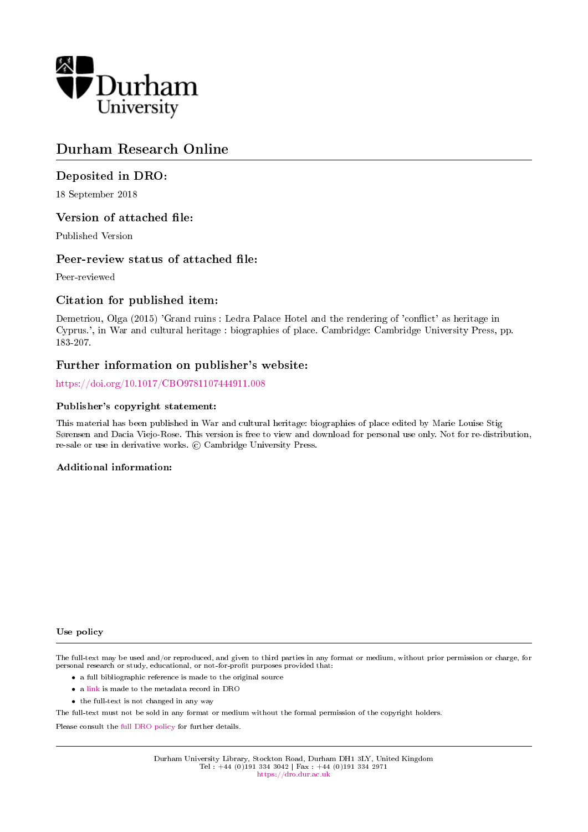

# Durham Research Online

## Deposited in DRO:

18 September 2018

## Version of attached file:

Published Version

## Peer-review status of attached file:

Peer-reviewed

## Citation for published item:

Demetriou, Olga (2015) 'Grand ruins : Ledra Palace Hotel and the rendering of 'conflict' as heritage in Cyprus.', in War and cultural heritage : biographies of place. Cambridge: Cambridge University Press, pp. 183-207.

## Further information on publisher's website:

<https://doi.org/10.1017/CBO9781107444911.008>

## Publisher's copyright statement:

This material has been published in War and cultural heritage: biographies of place edited by Marie Louise Stig Sørensen and Dacia Viejo-Rose. This version is free to view and download for personal use only. Not for re-distribution, re-sale or use in derivative works.  $\odot$  Cambridge University Press.

### Additional information:

### Use policy

The full-text may be used and/or reproduced, and given to third parties in any format or medium, without prior permission or charge, for personal research or study, educational, or not-for-profit purposes provided that:

- a full bibliographic reference is made to the original source
- a [link](http://dro.dur.ac.uk/26231/) is made to the metadata record in DRO
- the full-text is not changed in any way

The full-text must not be sold in any format or medium without the formal permission of the copyright holders.

Please consult the [full DRO policy](https://dro.dur.ac.uk/policies/usepolicy.pdf) for further details.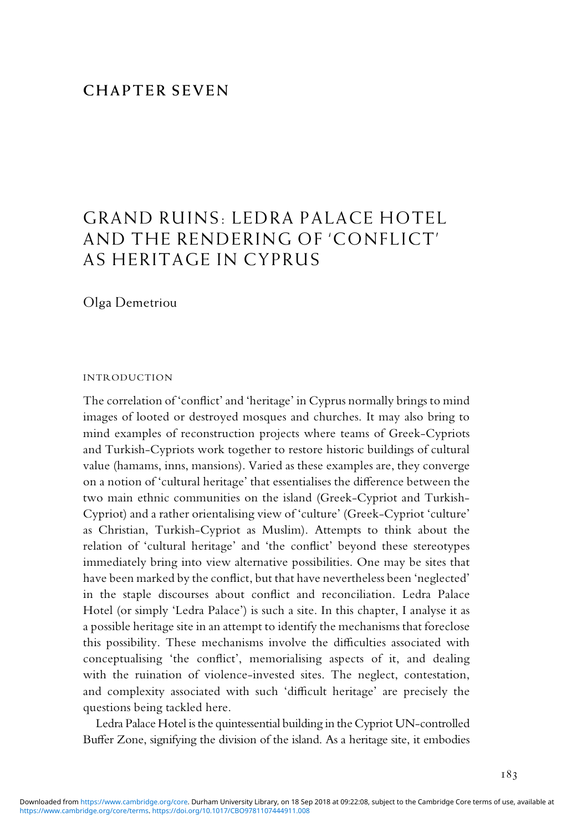# CHAPTER SEVEN

# GRAND RUINS: LEDRA PALACE HOTEL AND THE RENDERING OF 'CONFLICT' AS HERITAGE IN CYPRUS

## Olga Demetriou

### INTRODUCTION

The correlation of 'conflict' and 'heritage' in Cyprus normally brings to mind images of looted or destroyed mosques and churches. It may also bring to mind examples of reconstruction projects where teams of Greek-Cypriots and Turkish-Cypriots work together to restore historic buildings of cultural value (hamams, inns, mansions). Varied as these examples are, they converge on a notion of 'cultural heritage' that essentialises the difference between the two main ethnic communities on the island (Greek-Cypriot and Turkish-Cypriot) and a rather orientalising view of 'culture' (Greek-Cypriot 'culture' as Christian, Turkish-Cypriot as Muslim). Attempts to think about the relation of 'cultural heritage' and 'the conflict' beyond these stereotypes immediately bring into view alternative possibilities. One may be sites that have been marked by the conflict, but that have nevertheless been 'neglected' in the staple discourses about conflict and reconciliation. Ledra Palace Hotel (or simply 'Ledra Palace') is such a site. In this chapter, I analyse it as a possible heritage site in an attempt to identify the mechanisms that foreclose this possibility. These mechanisms involve the difficulties associated with conceptualising 'the conflict', memorialising aspects of it, and dealing with the ruination of violence-invested sites. The neglect, contestation, and complexity associated with such 'difficult heritage' are precisely the questions being tackled here.

Ledra Palace Hotel is the quintessential building in the Cypriot UN-controlled Buffer Zone, signifying the division of the island. As a heritage site, it embodies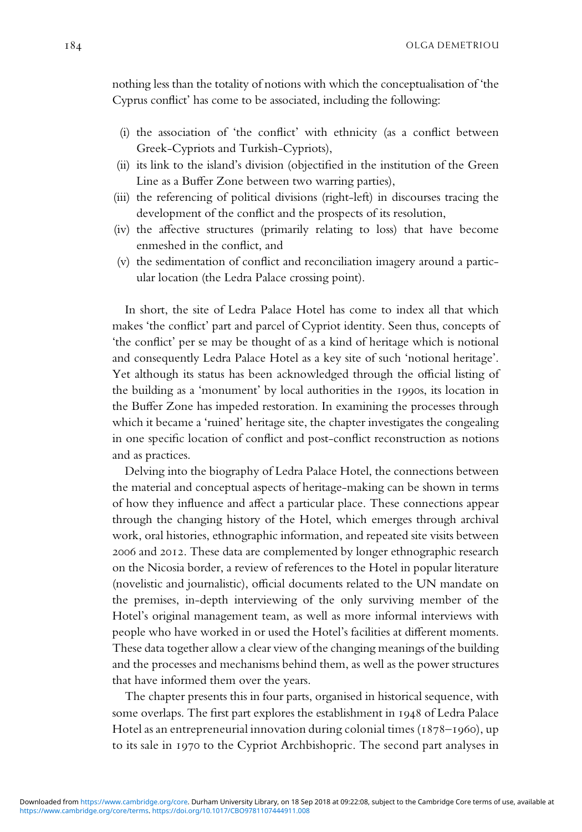nothing less than the totality of notions with which the conceptualisation of 'the Cyprus conflict' has come to be associated, including the following:

- (i) the association of 'the conflict' with ethnicity (as a conflict between Greek-Cypriots and Turkish-Cypriots),
- (ii) its link to the island's division (objectified in the institution of the Green Line as a Buffer Zone between two warring parties),
- (iii) the referencing of political divisions (right-left) in discourses tracing the development of the conflict and the prospects of its resolution,
- (iv) the affective structures (primarily relating to loss) that have become enmeshed in the conflict, and
- (v) the sedimentation of conflict and reconciliation imagery around a particular location (the Ledra Palace crossing point).

In short, the site of Ledra Palace Hotel has come to index all that which makes 'the conflict' part and parcel of Cypriot identity. Seen thus, concepts of 'the conflict' per se may be thought of as a kind of heritage which is notional and consequently Ledra Palace Hotel as a key site of such 'notional heritage'. Yet although its status has been acknowledged through the official listing of the building as a 'monument' by local authorities in the 1990s, its location in the Buffer Zone has impeded restoration. In examining the processes through which it became a 'ruined' heritage site, the chapter investigates the congealing in one specific location of conflict and post-conflict reconstruction as notions and as practices.

Delving into the biography of Ledra Palace Hotel, the connections between the material and conceptual aspects of heritage-making can be shown in terms of how they influence and affect a particular place. These connections appear through the changing history of the Hotel, which emerges through archival work, oral histories, ethnographic information, and repeated site visits between 2006 and 2012. These data are complemented by longer ethnographic research on the Nicosia border, a review of references to the Hotel in popular literature (novelistic and journalistic), official documents related to the UN mandate on the premises, in-depth interviewing of the only surviving member of the Hotel's original management team, as well as more informal interviews with people who have worked in or used the Hotel's facilities at different moments. These data together allow a clear view of the changing meanings of the building and the processes and mechanisms behind them, as well as the power structures that have informed them over the years.

The chapter presents this in four parts, organised in historical sequence, with some overlaps. The first part explores the establishment in 1948 of Ledra Palace Hotel as an entrepreneurial innovation during colonial times (1878–1960), up to its sale in 1970 to the Cypriot Archbishopric. The second part analyses in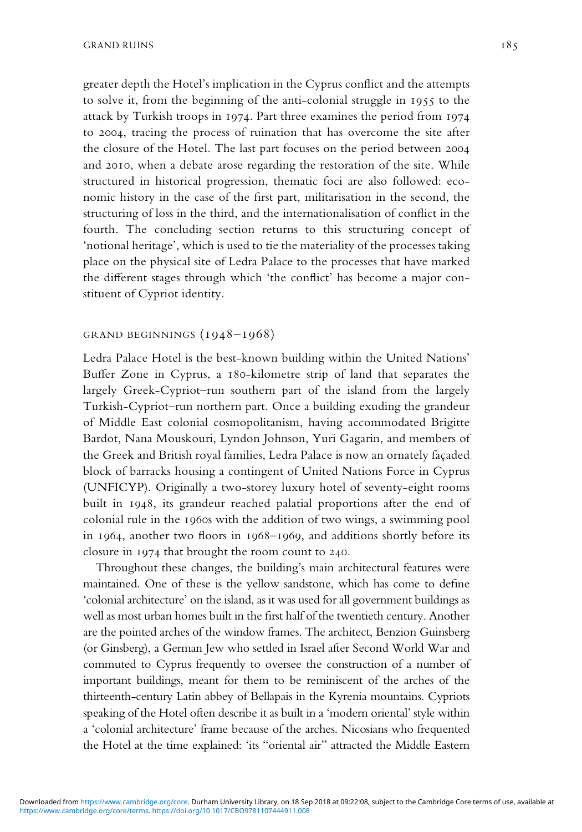greater depth the Hotel's implication in the Cyprus conflict and the attempts to solve it, from the beginning of the anti-colonial struggle in 1955 to the attack by Turkish troops in 1974. Part three examines the period from 1974 to 2004, tracing the process of ruination that has overcome the site after the closure of the Hotel. The last part focuses on the period between 2004 and 2010, when a debate arose regarding the restoration of the site. While structured in historical progression, thematic foci are also followed: economic history in the case of the first part, militarisation in the second, the structuring of loss in the third, and the internationalisation of conflict in the fourth. The concluding section returns to this structuring concept of 'notional heritage', which is used to tie the materiality of the processes taking place on the physical site of Ledra Palace to the processes that have marked the different stages through which 'the conflict' has become a major constituent of Cypriot identity.

### GRAND BEGINNINGS (1948–1968)

Ledra Palace Hotel is the best-known building within the United Nations' Buffer Zone in Cyprus, a 180-kilometre strip of land that separates the largely Greek-Cypriot–run southern part of the island from the largely Turkish-Cypriot–run northern part. Once a building exuding the grandeur of Middle East colonial cosmopolitanism, having accommodated Brigitte Bardot, Nana Mouskouri, Lyndon Johnson, Yuri Gagarin, and members of the Greek and British royal families, Ledra Palace is now an ornately façaded block of barracks housing a contingent of United Nations Force in Cyprus (UNFICYP). Originally a two-storey luxury hotel of seventy-eight rooms built in 1948, its grandeur reached palatial proportions after the end of colonial rule in the 1960s with the addition of two wings, a swimming pool in 1964, another two floors in 1968–1969, and additions shortly before its closure in 1974 that brought the room count to 240.

Throughout these changes, the building's main architectural features were maintained. One of these is the yellow sandstone, which has come to define 'colonial architecture' on the island, as it was used for all government buildings as well as most urban homes built in the first half of the twentieth century. Another are the pointed arches of the window frames. The architect, Benzion Guinsberg (or Ginsberg), a German Jew who settled in Israel after Second World War and commuted to Cyprus frequently to oversee the construction of a number of important buildings, meant for them to be reminiscent of the arches of the thirteenth-century Latin abbey of Bellapais in the Kyrenia mountains. Cypriots speaking of the Hotel often describe it as built in a 'modern oriental' style within a 'colonial architecture' frame because of the arches. Nicosians who frequented the Hotel at the time explained: 'its "oriental air" attracted the Middle Eastern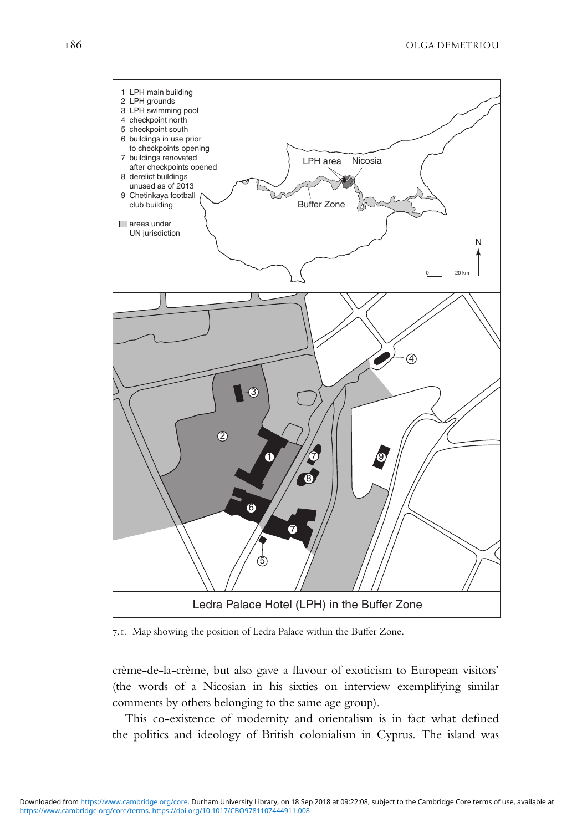

7.1. Map showing the position of Ledra Palace within the Buffer Zone.

crème-de-la-crème, but also gave a flavour of exoticism to European visitors' (the words of a Nicosian in his sixties on interview exemplifying similar comments by others belonging to the same age group).

This co-existence of modernity and orientalism is in fact what defined the politics and ideology of British colonialism in Cyprus. The island was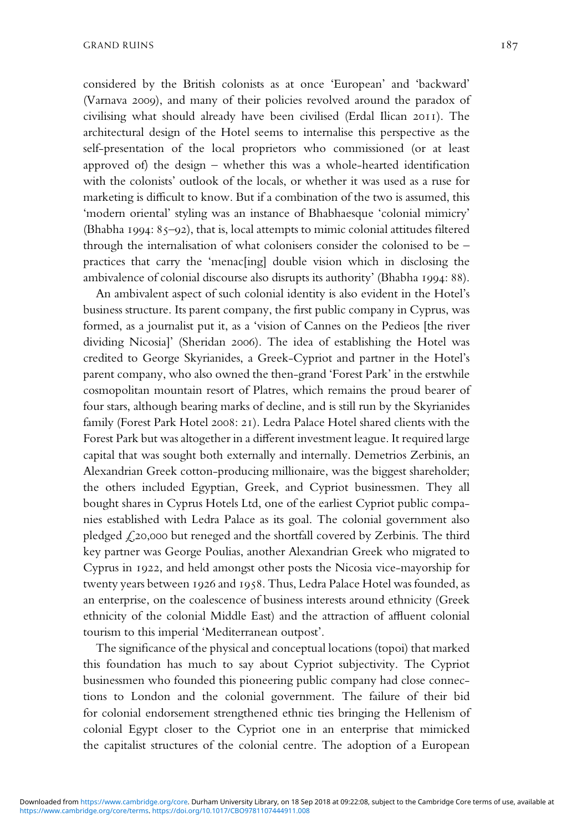considered by the British colonists as at once 'European' and 'backward' (Varnava 2009), and many of their policies revolved around the paradox of civilising what should already have been civilised (Erdal Ilican 2011). The architectural design of the Hotel seems to internalise this perspective as the self-presentation of the local proprietors who commissioned (or at least approved of) the design – whether this was a whole-hearted identification with the colonists' outlook of the locals, or whether it was used as a ruse for marketing is difficult to know. But if a combination of the two is assumed, this 'modern oriental' styling was an instance of Bhabhaesque 'colonial mimicry' (Bhabha 1994: 85–92), that is, local attempts to mimic colonial attitudes filtered through the internalisation of what colonisers consider the colonised to be – practices that carry the 'menac[ing] double vision which in disclosing the ambivalence of colonial discourse also disrupts its authority' (Bhabha 1994: 88).

An ambivalent aspect of such colonial identity is also evident in the Hotel's business structure. Its parent company, the first public company in Cyprus, was formed, as a journalist put it, as a 'vision of Cannes on the Pedieos [the river dividing Nicosia]' (Sheridan 2006). The idea of establishing the Hotel was credited to George Skyrianides, a Greek-Cypriot and partner in the Hotel's parent company, who also owned the then-grand 'Forest Park' in the erstwhile cosmopolitan mountain resort of Platres, which remains the proud bearer of four stars, although bearing marks of decline, and is still run by the Skyrianides family (Forest Park Hotel 2008: 21). Ledra Palace Hotel shared clients with the Forest Park but was altogether in a different investment league. It required large capital that was sought both externally and internally. Demetrios Zerbinis, an Alexandrian Greek cotton-producing millionaire, was the biggest shareholder; the others included Egyptian, Greek, and Cypriot businessmen. They all bought shares in Cyprus Hotels Ltd, one of the earliest Cypriot public companies established with Ledra Palace as its goal. The colonial government also pledged  $\ell$ ,20,000 but reneged and the shortfall covered by Zerbinis. The third key partner was George Poulias, another Alexandrian Greek who migrated to Cyprus in 1922, and held amongst other posts the Nicosia vice-mayorship for twenty years between 1926 and 1958. Thus, Ledra Palace Hotel was founded, as an enterprise, on the coalescence of business interests around ethnicity (Greek ethnicity of the colonial Middle East) and the attraction of affluent colonial tourism to this imperial 'Mediterranean outpost'.

The significance of the physical and conceptual locations (topoi) that marked this foundation has much to say about Cypriot subjectivity. The Cypriot businessmen who founded this pioneering public company had close connections to London and the colonial government. The failure of their bid for colonial endorsement strengthened ethnic ties bringing the Hellenism of colonial Egypt closer to the Cypriot one in an enterprise that mimicked the capitalist structures of the colonial centre. The adoption of a European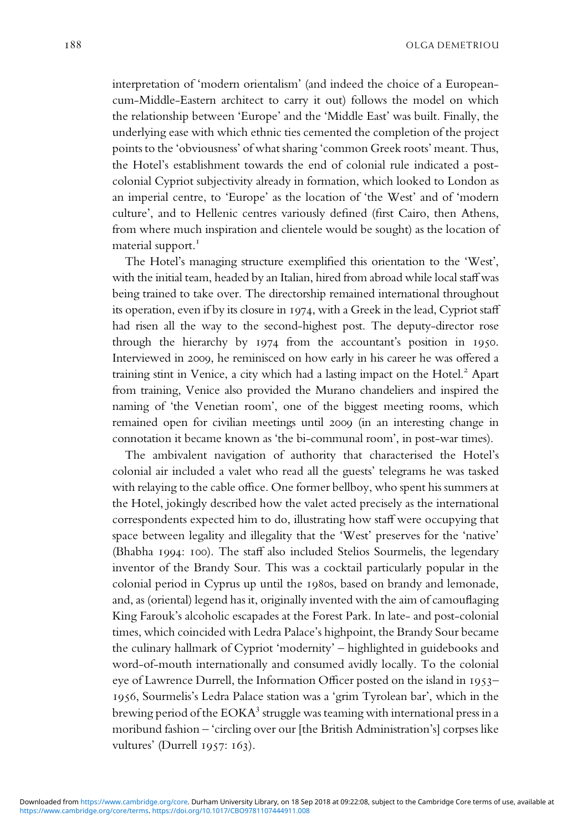interpretation of 'modern orientalism' (and indeed the choice of a Europeancum-Middle-Eastern architect to carry it out) follows the model on which the relationship between 'Europe' and the 'Middle East' was built. Finally, the underlying ease with which ethnic ties cemented the completion of the project points to the 'obviousness' of what sharing 'common Greek roots' meant. Thus, the Hotel's establishment towards the end of colonial rule indicated a postcolonial Cypriot subjectivity already in formation, which looked to London as an imperial centre, to 'Europe' as the location of 'the West' and of 'modern culture', and to Hellenic centres variously defined (first Cairo, then Athens, from where much inspiration and clientele would be sought) as the location of material support.<sup>1</sup>

The Hotel's managing structure exemplified this orientation to the 'West', with the initial team, headed by an Italian, hired from abroad while local staff was being trained to take over. The directorship remained international throughout its operation, even if by its closure in 1974, with a Greek in the lead, Cypriot staff had risen all the way to the second-highest post. The deputy-director rose through the hierarchy by 1974 from the accountant's position in 1950. Interviewed in 2009, he reminisced on how early in his career he was offered a training stint in Venice, a city which had a lasting impact on the Hotel.<sup>2</sup> Apart from training, Venice also provided the Murano chandeliers and inspired the naming of 'the Venetian room', one of the biggest meeting rooms, which remained open for civilian meetings until 2009 (in an interesting change in connotation it became known as 'the bi-communal room', in post-war times).

The ambivalent navigation of authority that characterised the Hotel's colonial air included a valet who read all the guests' telegrams he was tasked with relaying to the cable office. One former bellboy, who spent his summers at the Hotel, jokingly described how the valet acted precisely as the international correspondents expected him to do, illustrating how staff were occupying that space between legality and illegality that the 'West' preserves for the 'native' (Bhabha 1994: 100). The staff also included Stelios Sourmelis, the legendary inventor of the Brandy Sour. This was a cocktail particularly popular in the colonial period in Cyprus up until the 1980s, based on brandy and lemonade, and, as (oriental) legend has it, originally invented with the aim of camouflaging King Farouk's alcoholic escapades at the Forest Park. In late- and post-colonial times, which coincided with Ledra Palace's highpoint, the Brandy Sour became the culinary hallmark of Cypriot 'modernity' – highlighted in guidebooks and word-of-mouth internationally and consumed avidly locally. To the colonial eye of Lawrence Durrell, the Information Officer posted on the island in 1953– 1956, Sourmelis's Ledra Palace station was a 'grim Tyrolean bar', which in the brewing period of the  $\rm EOKA^3$  struggle was teaming with international press in a moribund fashion – 'circling over our [the British Administration's] corpses like vultures' (Durrell 1957: 163).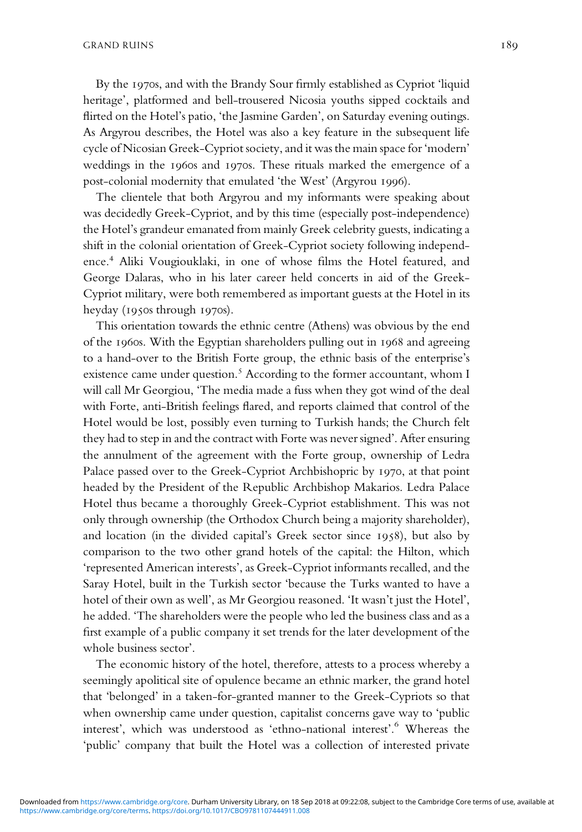By the 1970s, and with the Brandy Sour firmly established as Cypriot 'liquid heritage', platformed and bell-trousered Nicosia youths sipped cocktails and flirted on the Hotel's patio, 'the Jasmine Garden', on Saturday evening outings. As Argyrou describes, the Hotel was also a key feature in the subsequent life cycle of Nicosian Greek-Cypriot society, and it was the main space for 'modern' weddings in the 1960s and 1970s. These rituals marked the emergence of a post-colonial modernity that emulated 'the West' (Argyrou 1996).

The clientele that both Argyrou and my informants were speaking about was decidedly Greek-Cypriot, and by this time (especially post-independence) the Hotel's grandeur emanated from mainly Greek celebrity guests, indicating a shift in the colonial orientation of Greek-Cypriot society following independence. <sup>4</sup> Aliki Vougiouklaki, in one of whose films the Hotel featured, and George Dalaras, who in his later career held concerts in aid of the Greek-Cypriot military, were both remembered as important guests at the Hotel in its heyday (1950s through 1970s).

This orientation towards the ethnic centre (Athens) was obvious by the end of the 1960s. With the Egyptian shareholders pulling out in 1968 and agreeing to a hand-over to the British Forte group, the ethnic basis of the enterprise's existence came under question.<sup>5</sup> According to the former accountant, whom I will call Mr Georgiou, 'The media made a fuss when they got wind of the deal with Forte, anti-British feelings flared, and reports claimed that control of the Hotel would be lost, possibly even turning to Turkish hands; the Church felt they had to step in and the contract with Forte was never signed'. After ensuring the annulment of the agreement with the Forte group, ownership of Ledra Palace passed over to the Greek-Cypriot Archbishopric by 1970, at that point headed by the President of the Republic Archbishop Makarios. Ledra Palace Hotel thus became a thoroughly Greek-Cypriot establishment. This was not only through ownership (the Orthodox Church being a majority shareholder), and location (in the divided capital's Greek sector since 1958), but also by comparison to the two other grand hotels of the capital: the Hilton, which 'represented American interests', as Greek-Cypriot informants recalled, and the Saray Hotel, built in the Turkish sector 'because the Turks wanted to have a hotel of their own as well', as Mr Georgiou reasoned. 'It wasn't just the Hotel', he added. 'The shareholders were the people who led the business class and as a first example of a public company it set trends for the later development of the whole business sector'.

The economic history of the hotel, therefore, attests to a process whereby a seemingly apolitical site of opulence became an ethnic marker, the grand hotel that 'belonged' in a taken-for-granted manner to the Greek-Cypriots so that when ownership came under question, capitalist concerns gave way to 'public interest', which was understood as 'ethno-national interest'. <sup>6</sup> Whereas the 'public' company that built the Hotel was a collection of interested private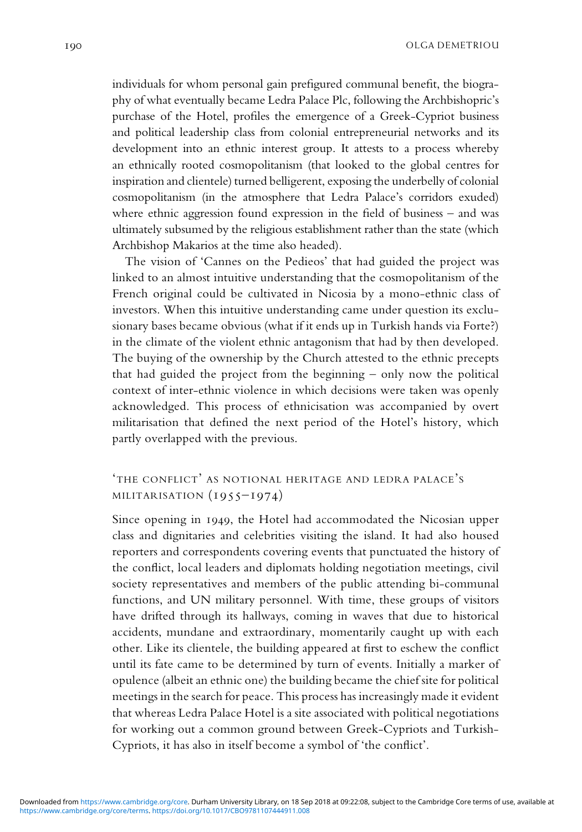individuals for whom personal gain prefigured communal benefit, the biography of what eventually became Ledra Palace Plc, following the Archbishopric's purchase of the Hotel, profiles the emergence of a Greek-Cypriot business and political leadership class from colonial entrepreneurial networks and its development into an ethnic interest group. It attests to a process whereby an ethnically rooted cosmopolitanism (that looked to the global centres for inspiration and clientele) turned belligerent, exposing the underbelly of colonial cosmopolitanism (in the atmosphere that Ledra Palace's corridors exuded) where ethnic aggression found expression in the field of business – and was ultimately subsumed by the religious establishment rather than the state (which Archbishop Makarios at the time also headed).

The vision of 'Cannes on the Pedieos' that had guided the project was linked to an almost intuitive understanding that the cosmopolitanism of the French original could be cultivated in Nicosia by a mono-ethnic class of investors. When this intuitive understanding came under question its exclusionary bases became obvious (what if it ends up in Turkish hands via Forte?) in the climate of the violent ethnic antagonism that had by then developed. The buying of the ownership by the Church attested to the ethnic precepts that had guided the project from the beginning – only now the political context of inter-ethnic violence in which decisions were taken was openly acknowledged. This process of ethnicisation was accompanied by overt militarisation that defined the next period of the Hotel's history, which partly overlapped with the previous.

## 'THE CONFLICT' AS NOTIONAL HERITAGE AND LEDRA PALACE'<sup>S</sup> MILITARISATION (1955–1974)

Since opening in 1949, the Hotel had accommodated the Nicosian upper class and dignitaries and celebrities visiting the island. It had also housed reporters and correspondents covering events that punctuated the history of the conflict, local leaders and diplomats holding negotiation meetings, civil society representatives and members of the public attending bi-communal functions, and UN military personnel. With time, these groups of visitors have drifted through its hallways, coming in waves that due to historical accidents, mundane and extraordinary, momentarily caught up with each other. Like its clientele, the building appeared at first to eschew the conflict until its fate came to be determined by turn of events. Initially a marker of opulence (albeit an ethnic one) the building became the chief site for political meetings in the search for peace. This process has increasingly made it evident that whereas Ledra Palace Hotel is a site associated with political negotiations for working out a common ground between Greek-Cypriots and Turkish-Cypriots, it has also in itself become a symbol of 'the conflict'.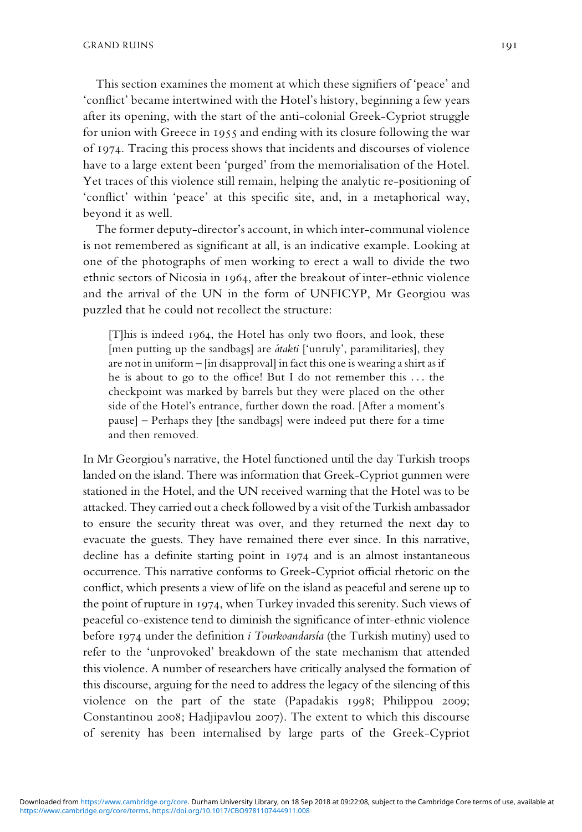This section examines the moment at which these signifiers of 'peace' and 'conflict' became intertwined with the Hotel's history, beginning a few years after its opening, with the start of the anti-colonial Greek-Cypriot struggle for union with Greece in 1955 and ending with its closure following the war of 1974. Tracing this process shows that incidents and discourses of violence have to a large extent been 'purged' from the memorialisation of the Hotel. Yet traces of this violence still remain, helping the analytic re-positioning of 'conflict' within 'peace' at this specific site, and, in a metaphorical way, beyond it as well.

The former deputy-director's account, in which inter-communal violence is not remembered as significant at all, is an indicative example. Looking at one of the photographs of men working to erect a wall to divide the two ethnic sectors of Nicosia in 1964, after the breakout of inter-ethnic violence and the arrival of the UN in the form of UNFICYP, Mr Georgiou was puzzled that he could not recollect the structure:

[T]his is indeed 1964, the Hotel has only two floors, and look, these [men putting up the sandbags] are *atakti* ['unruly', paramilitaries], they are not in uniform – [in disapproval] in fact this one is wearing a shirt as if he is about to go to the office! But I do not remember this ... the checkpoint was marked by barrels but they were placed on the other side of the Hotel's entrance, further down the road. [After a moment's pause] – Perhaps they [the sandbags] were indeed put there for a time and then removed.

In Mr Georgiou's narrative, the Hotel functioned until the day Turkish troops landed on the island. There was information that Greek-Cypriot gunmen were stationed in the Hotel, and the UN received warning that the Hotel was to be attacked. They carried out a check followed by a visit of the Turkish ambassador to ensure the security threat was over, and they returned the next day to evacuate the guests. They have remained there ever since. In this narrative, decline has a definite starting point in 1974 and is an almost instantaneous occurrence. This narrative conforms to Greek-Cypriot official rhetoric on the conflict, which presents a view of life on the island as peaceful and serene up to the point of rupture in 1974, when Turkey invaded this serenity. Such views of peaceful co-existence tend to diminish the significance of inter-ethnic violence before 1974 under the definition i Tourkoandarsía (the Turkish mutiny) used to refer to the 'unprovoked' breakdown of the state mechanism that attended this violence. A number of researchers have critically analysed the formation of this discourse, arguing for the need to address the legacy of the silencing of this violence on the part of the state (Papadakis 1998; Philippou 2009; Constantinou 2008; Hadjipavlou 2007). The extent to which this discourse of serenity has been internalised by large parts of the Greek-Cypriot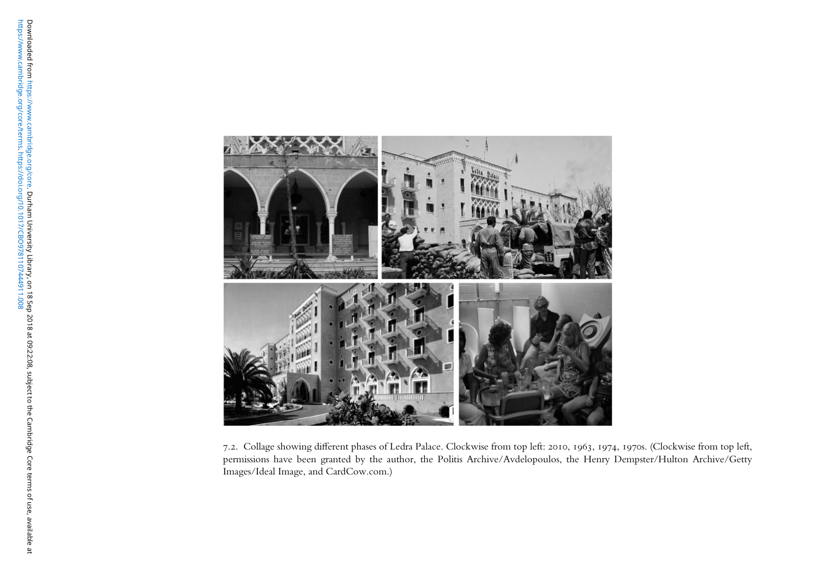

7.2. Collage showing di fferent phases of Ledra Palace. Clockwise from top left: <sup>2010</sup>, 1963, <sup>1974</sup>, <sup>1970</sup>s. (Clockwise from top left, permissions have been granted by the author, the Politis Archive/Avdelopoulos, the Henry Dempster/Hulton Archive/GettyImages/Ideal Image, and CardCow.com.)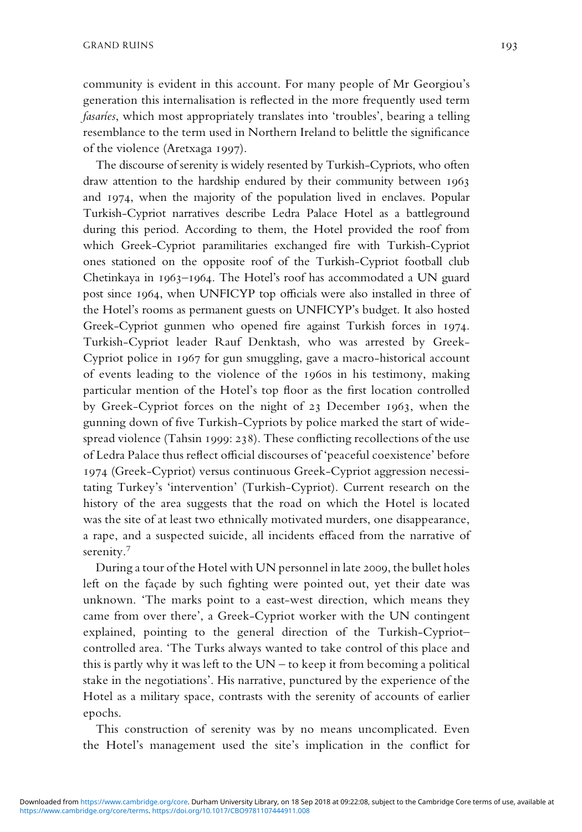community is evident in this account. For many people of Mr Georgiou's generation this internalisation is reflected in the more frequently used term fasaríes, which most appropriately translates into 'troubles', bearing a telling resemblance to the term used in Northern Ireland to belittle the significance of the violence (Aretxaga 1997).

The discourse of serenity is widely resented by Turkish-Cypriots, who often draw attention to the hardship endured by their community between 1963 and 1974, when the majority of the population lived in enclaves. Popular Turkish-Cypriot narratives describe Ledra Palace Hotel as a battleground during this period. According to them, the Hotel provided the roof from which Greek-Cypriot paramilitaries exchanged fire with Turkish-Cypriot ones stationed on the opposite roof of the Turkish-Cypriot football club Chetinkaya in 1963–1964. The Hotel's roof has accommodated a UN guard post since 1964, when UNFICYP top officials were also installed in three of the Hotel's rooms as permanent guests on UNFICYP's budget. It also hosted Greek-Cypriot gunmen who opened fire against Turkish forces in 1974. Turkish-Cypriot leader Rauf Denktash, who was arrested by Greek-Cypriot police in 1967 for gun smuggling, gave a macro-historical account of events leading to the violence of the 1960s in his testimony, making particular mention of the Hotel's top floor as the first location controlled by Greek-Cypriot forces on the night of 23 December 1963, when the gunning down of five Turkish-Cypriots by police marked the start of widespread violence (Tahsin 1999: 238). These conflicting recollections of the use of Ledra Palace thus reflect official discourses of 'peaceful coexistence' before 1974 (Greek-Cypriot) versus continuous Greek-Cypriot aggression necessitating Turkey's 'intervention' (Turkish-Cypriot). Current research on the history of the area suggests that the road on which the Hotel is located was the site of at least two ethnically motivated murders, one disappearance, a rape, and a suspected suicide, all incidents effaced from the narrative of serenity.<sup>7</sup>

During a tour of the Hotel with UN personnel in late 2009, the bullet holes left on the façade by such fighting were pointed out, yet their date was unknown. 'The marks point to a east-west direction, which means they came from over there', a Greek-Cypriot worker with the UN contingent explained, pointing to the general direction of the Turkish-Cypriot– controlled area. 'The Turks always wanted to take control of this place and this is partly why it was left to the UN – to keep it from becoming a political stake in the negotiations'. His narrative, punctured by the experience of the Hotel as a military space, contrasts with the serenity of accounts of earlier epochs.

This construction of serenity was by no means uncomplicated. Even the Hotel's management used the site's implication in the conflict for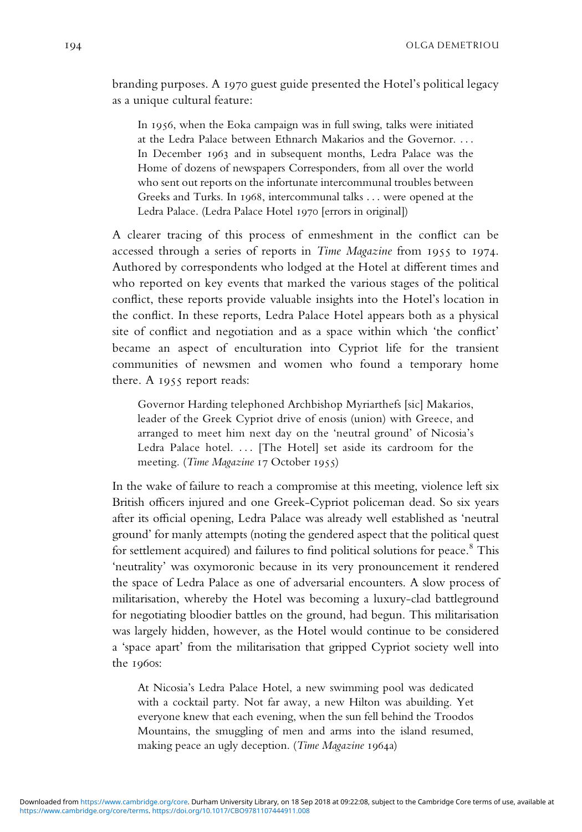branding purposes. A 1970 guest guide presented the Hotel's political legacy as a unique cultural feature:

In 1956, when the Eoka campaign was in full swing, talks were initiated at the Ledra Palace between Ethnarch Makarios and the Governor. ... In December 1963 and in subsequent months, Ledra Palace was the Home of dozens of newspapers Corresponders, from all over the world who sent out reports on the infortunate intercommunal troubles between Greeks and Turks. In 1968, intercommunal talks ... were opened at the Ledra Palace. (Ledra Palace Hotel 1970 [errors in original])

A clearer tracing of this process of enmeshment in the conflict can be accessed through a series of reports in Time Magazine from 1955 to 1974. Authored by correspondents who lodged at the Hotel at different times and who reported on key events that marked the various stages of the political conflict, these reports provide valuable insights into the Hotel's location in the conflict. In these reports, Ledra Palace Hotel appears both as a physical site of conflict and negotiation and as a space within which 'the conflict' became an aspect of enculturation into Cypriot life for the transient communities of newsmen and women who found a temporary home there. A 1955 report reads:

Governor Harding telephoned Archbishop Myriarthefs [sic] Makarios, leader of the Greek Cypriot drive of enosis (union) with Greece, and arranged to meet him next day on the 'neutral ground' of Nicosia's Ledra Palace hotel. ... [The Hotel] set aside its cardroom for the meeting. (Time Magazine 17 October 1955)

In the wake of failure to reach a compromise at this meeting, violence left six British officers injured and one Greek-Cypriot policeman dead. So six years after its official opening, Ledra Palace was already well established as 'neutral ground' for manly attempts (noting the gendered aspect that the political quest for settlement acquired) and failures to find political solutions for peace.<sup>8</sup> This 'neutrality' was oxymoronic because in its very pronouncement it rendered the space of Ledra Palace as one of adversarial encounters. A slow process of militarisation, whereby the Hotel was becoming a luxury-clad battleground for negotiating bloodier battles on the ground, had begun. This militarisation was largely hidden, however, as the Hotel would continue to be considered a 'space apart' from the militarisation that gripped Cypriot society well into the 1960s:

At Nicosia's Ledra Palace Hotel, a new swimming pool was dedicated with a cocktail party. Not far away, a new Hilton was abuilding. Yet everyone knew that each evening, when the sun fell behind the Troodos Mountains, the smuggling of men and arms into the island resumed, making peace an ugly deception. (Time Magazine 1964a)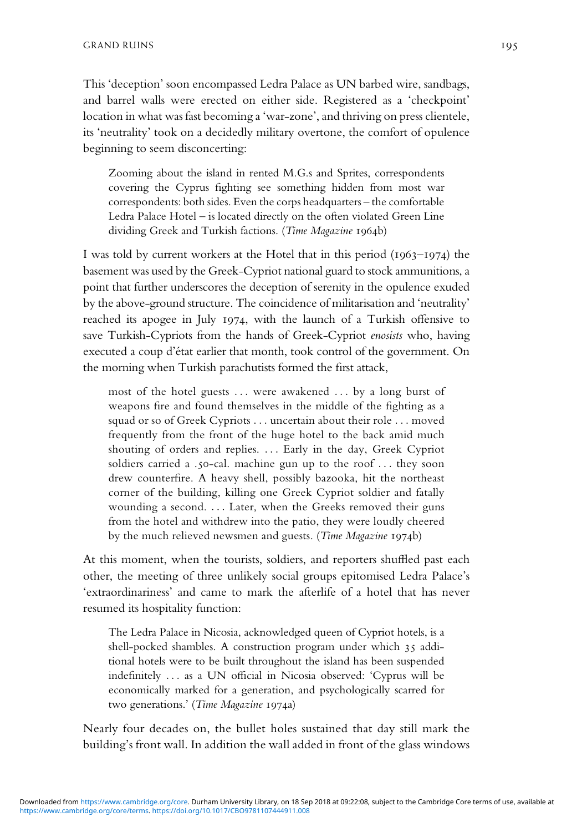This 'deception' soon encompassed Ledra Palace as UN barbed wire, sandbags, and barrel walls were erected on either side. Registered as a 'checkpoint' location in what was fast becoming a'war-zone', and thriving on press clientele, its 'neutrality' took on a decidedly military overtone, the comfort of opulence beginning to seem disconcerting:

Zooming about the island in rented M.G.s and Sprites, correspondents covering the Cyprus fighting see something hidden from most war correspondents: both sides. Even the corps headquarters – the comfortable Ledra Palace Hotel – is located directly on the often violated Green Line dividing Greek and Turkish factions. (Time Magazine 1964b)

I was told by current workers at the Hotel that in this period (1963–1974) the basement was used by the Greek-Cypriot national guard to stock ammunitions, a point that further underscores the deception of serenity in the opulence exuded by the above-ground structure. The coincidence of militarisation and 'neutrality' reached its apogee in July 1974, with the launch of a Turkish offensive to save Turkish-Cypriots from the hands of Greek-Cypriot enosists who, having executed a coup d'état earlier that month, took control of the government. On the morning when Turkish parachutists formed the first attack,

most of the hotel guests ... were awakened ... by a long burst of weapons fire and found themselves in the middle of the fighting as a squad or so of Greek Cypriots ... uncertain about their role ... moved frequently from the front of the huge hotel to the back amid much shouting of orders and replies. ... Early in the day, Greek Cypriot soldiers carried a .50-cal. machine gun up to the roof ... they soon drew counterfire. A heavy shell, possibly bazooka, hit the northeast corner of the building, killing one Greek Cypriot soldier and fatally wounding a second. ... Later, when the Greeks removed their guns from the hotel and withdrew into the patio, they were loudly cheered by the much relieved newsmen and guests. (Time Magazine 1974b)

At this moment, when the tourists, soldiers, and reporters shuffled past each other, the meeting of three unlikely social groups epitomised Ledra Palace's 'extraordinariness' and came to mark the afterlife of a hotel that has never resumed its hospitality function:

The Ledra Palace in Nicosia, acknowledged queen of Cypriot hotels, is a shell-pocked shambles. A construction program under which 35 additional hotels were to be built throughout the island has been suspended indefinitely ... as a UN official in Nicosia observed: 'Cyprus will be economically marked for a generation, and psychologically scarred for two generations.' (Time Magazine 1974a)

Nearly four decades on, the bullet holes sustained that day still mark the building's front wall. In addition the wall added in front of the glass windows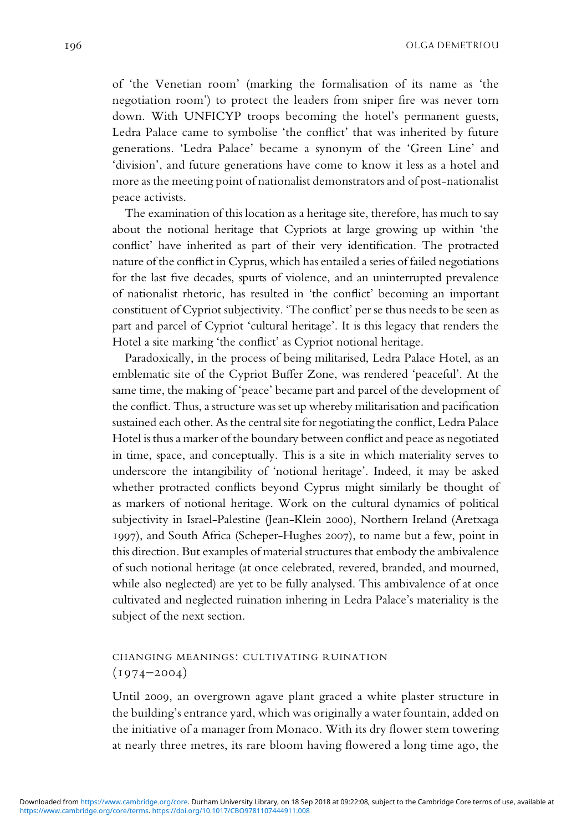of 'the Venetian room' (marking the formalisation of its name as 'the negotiation room') to protect the leaders from sniper fire was never torn down. With UNFICYP troops becoming the hotel's permanent guests, Ledra Palace came to symbolise 'the conflict' that was inherited by future generations. 'Ledra Palace' became a synonym of the 'Green Line' and 'division', and future generations have come to know it less as a hotel and more as the meeting point of nationalist demonstrators and of post-nationalist peace activists.

The examination of this location as a heritage site, therefore, has much to say about the notional heritage that Cypriots at large growing up within 'the conflict' have inherited as part of their very identification. The protracted nature of the conflict in Cyprus, which has entailed a series of failed negotiations for the last five decades, spurts of violence, and an uninterrupted prevalence of nationalist rhetoric, has resulted in 'the conflict' becoming an important constituent of Cypriot subjectivity. 'The conflict' per se thus needs to be seen as part and parcel of Cypriot 'cultural heritage'. It is this legacy that renders the Hotel a site marking 'the conflict' as Cypriot notional heritage.

Paradoxically, in the process of being militarised, Ledra Palace Hotel, as an emblematic site of the Cypriot Buffer Zone, was rendered 'peaceful'. At the same time, the making of 'peace' became part and parcel of the development of the conflict. Thus, a structure was set up whereby militarisation and pacification sustained each other. As the central site for negotiating the conflict, Ledra Palace Hotel is thus a marker of the boundary between conflict and peace as negotiated in time, space, and conceptually. This is a site in which materiality serves to underscore the intangibility of 'notional heritage'. Indeed, it may be asked whether protracted conflicts beyond Cyprus might similarly be thought of as markers of notional heritage. Work on the cultural dynamics of political subjectivity in Israel-Palestine (Jean-Klein 2000), Northern Ireland (Aretxaga 1997), and South Africa (Scheper-Hughes 2007), to name but a few, point in this direction. But examples of material structures that embody the ambivalence of such notional heritage (at once celebrated, revered, branded, and mourned, while also neglected) are yet to be fully analysed. This ambivalence of at once cultivated and neglected ruination inhering in Ledra Palace's materiality is the subject of the next section.

## CHANGING MEANINGS: CULTIVATING RUINATION  $(1974 - 2004)$

Until 2009, an overgrown agave plant graced a white plaster structure in the building's entrance yard, which was originally a water fountain, added on the initiative of a manager from Monaco. With its dry flower stem towering at nearly three metres, its rare bloom having flowered a long time ago, the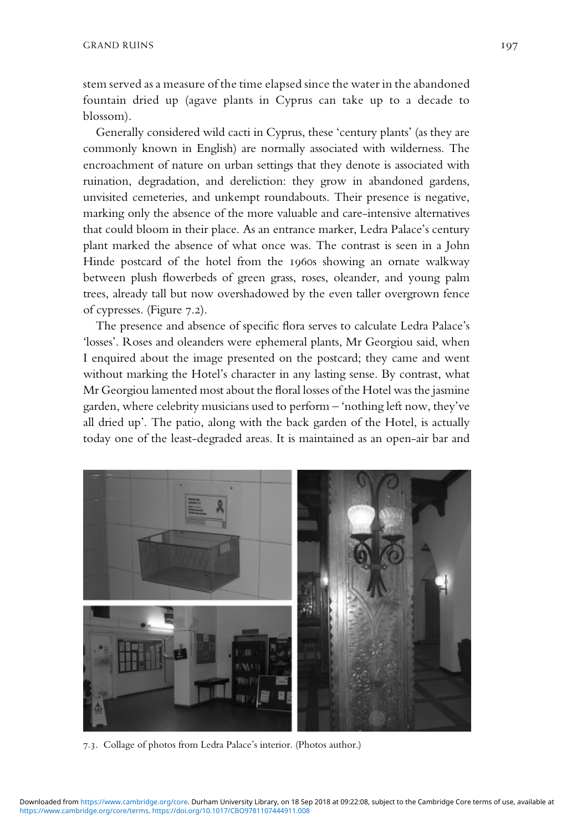stem served as a measure of the time elapsed since the water in the abandoned fountain dried up (agave plants in Cyprus can take up to a decade to blossom).

Generally considered wild cacti in Cyprus, these 'century plants' (as they are commonly known in English) are normally associated with wilderness. The encroachment of nature on urban settings that they denote is associated with ruination, degradation, and dereliction: they grow in abandoned gardens, unvisited cemeteries, and unkempt roundabouts. Their presence is negative, marking only the absence of the more valuable and care-intensive alternatives that could bloom in their place. As an entrance marker, Ledra Palace's century plant marked the absence of what once was. The contrast is seen in a John Hinde postcard of the hotel from the 1960s showing an ornate walkway between plush flowerbeds of green grass, roses, oleander, and young palm trees, already tall but now overshadowed by the even taller overgrown fence of cypresses. (Figure 7.2).

The presence and absence of specific flora serves to calculate Ledra Palace's 'losses'. Roses and oleanders were ephemeral plants, Mr Georgiou said, when I enquired about the image presented on the postcard; they came and went without marking the Hotel's character in any lasting sense. By contrast, what Mr Georgiou lamented most about the floral losses of the Hotel was the jasmine garden, where celebrity musicians used to perform – 'nothing left now, they've all dried up'. The patio, along with the back garden of the Hotel, is actually today one of the least-degraded areas. It is maintained as an open-air bar and



7.3. Collage of photos from Ledra Palace's interior. (Photos author.)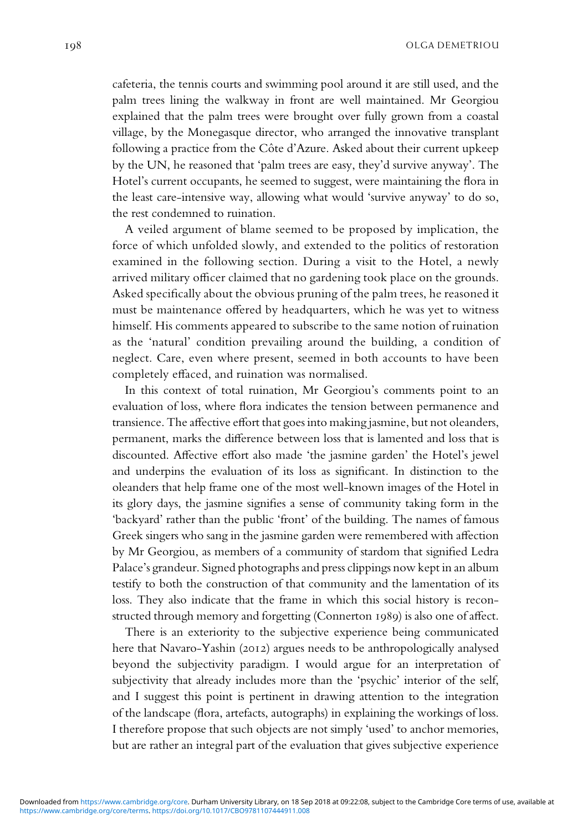cafeteria, the tennis courts and swimming pool around it are still used, and the palm trees lining the walkway in front are well maintained. Mr Georgiou explained that the palm trees were brought over fully grown from a coastal village, by the Monegasque director, who arranged the innovative transplant following a practice from the Côte d'Azure. Asked about their current upkeep by the UN, he reasoned that 'palm trees are easy, they'd survive anyway'. The Hotel's current occupants, he seemed to suggest, were maintaining the flora in the least care-intensive way, allowing what would 'survive anyway' to do so, the rest condemned to ruination.

A veiled argument of blame seemed to be proposed by implication, the force of which unfolded slowly, and extended to the politics of restoration examined in the following section. During a visit to the Hotel, a newly arrived military officer claimed that no gardening took place on the grounds. Asked specifically about the obvious pruning of the palm trees, he reasoned it must be maintenance offered by headquarters, which he was yet to witness himself. His comments appeared to subscribe to the same notion of ruination as the 'natural' condition prevailing around the building, a condition of neglect. Care, even where present, seemed in both accounts to have been completely effaced, and ruination was normalised.

In this context of total ruination, Mr Georgiou's comments point to an evaluation of loss, where flora indicates the tension between permanence and transience. The affective effort that goes into making jasmine, but not oleanders, permanent, marks the difference between loss that is lamented and loss that is discounted. Affective effort also made 'the jasmine garden' the Hotel's jewel and underpins the evaluation of its loss as significant. In distinction to the oleanders that help frame one of the most well-known images of the Hotel in its glory days, the jasmine signifies a sense of community taking form in the 'backyard' rather than the public 'front' of the building. The names of famous Greek singers who sang in the jasmine garden were remembered with affection by Mr Georgiou, as members of a community of stardom that signified Ledra Palace's grandeur. Signed photographs and press clippings now kept in an album testify to both the construction of that community and the lamentation of its loss. They also indicate that the frame in which this social history is reconstructed through memory and forgetting (Connerton 1989) is also one of affect.

There is an exteriority to the subjective experience being communicated here that Navaro-Yashin (2012) argues needs to be anthropologically analysed beyond the subjectivity paradigm. I would argue for an interpretation of subjectivity that already includes more than the 'psychic' interior of the self, and I suggest this point is pertinent in drawing attention to the integration of the landscape (flora, artefacts, autographs) in explaining the workings of loss. I therefore propose that such objects are not simply 'used' to anchor memories, but are rather an integral part of the evaluation that gives subjective experience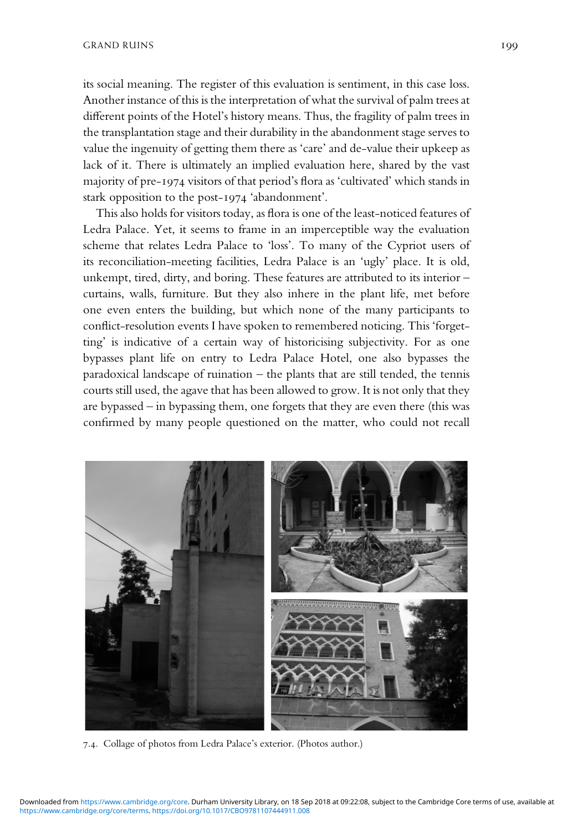its social meaning. The register of this evaluation is sentiment, in this case loss. Another instance of this is the interpretation of what the survival of palm trees at different points of the Hotel's history means. Thus, the fragility of palm trees in the transplantation stage and their durability in the abandonment stage serves to value the ingenuity of getting them there as 'care' and de-value their upkeep as lack of it. There is ultimately an implied evaluation here, shared by the vast majority of pre-1974 visitors of that period's flora as 'cultivated' which stands in stark opposition to the post-1974 'abandonment'.

This also holds for visitors today, as flora is one of the least-noticed features of Ledra Palace. Yet, it seems to frame in an imperceptible way the evaluation scheme that relates Ledra Palace to 'loss'. To many of the Cypriot users of its reconciliation-meeting facilities, Ledra Palace is an 'ugly' place. It is old, unkempt, tired, dirty, and boring. These features are attributed to its interior – curtains, walls, furniture. But they also inhere in the plant life, met before one even enters the building, but which none of the many participants to conflict-resolution events I have spoken to remembered noticing. This 'forgetting' is indicative of a certain way of historicising subjectivity. For as one bypasses plant life on entry to Ledra Palace Hotel, one also bypasses the paradoxical landscape of ruination – the plants that are still tended, the tennis courts still used, the agave that has been allowed to grow. It is not only that they are bypassed – in bypassing them, one forgets that they are even there (this was confirmed by many people questioned on the matter, who could not recall



7.4. Collage of photos from Ledra Palace's exterior. (Photos author.)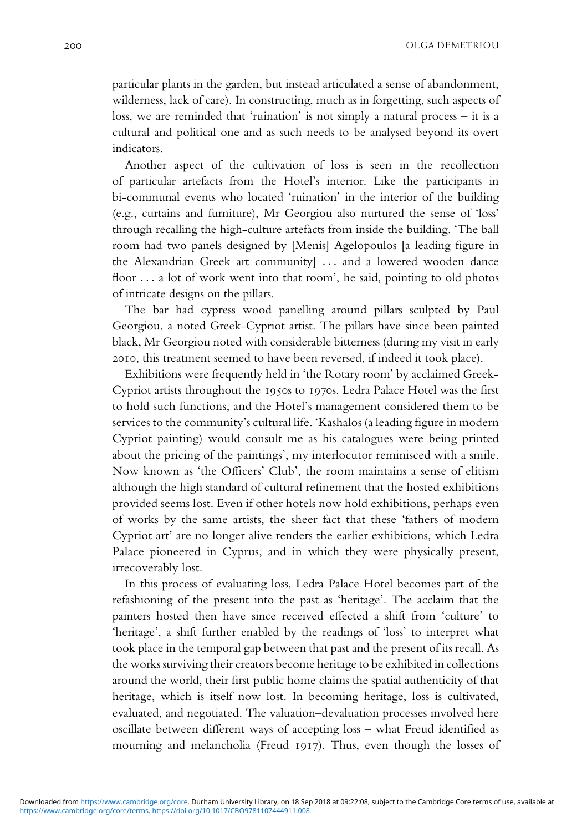particular plants in the garden, but instead articulated a sense of abandonment, wilderness, lack of care). In constructing, much as in forgetting, such aspects of loss, we are reminded that 'ruination' is not simply a natural process – it is a cultural and political one and as such needs to be analysed beyond its overt indicators.

Another aspect of the cultivation of loss is seen in the recollection of particular artefacts from the Hotel's interior. Like the participants in bi-communal events who located 'ruination' in the interior of the building (e.g., curtains and furniture), Mr Georgiou also nurtured the sense of 'loss' through recalling the high-culture artefacts from inside the building. 'The ball room had two panels designed by [Menis] Agelopoulos [a leading figure in the Alexandrian Greek art community] ... and a lowered wooden dance floor ... a lot of work went into that room', he said, pointing to old photos of intricate designs on the pillars.

The bar had cypress wood panelling around pillars sculpted by Paul Georgiou, a noted Greek-Cypriot artist. The pillars have since been painted black, Mr Georgiou noted with considerable bitterness (during my visit in early 2010, this treatment seemed to have been reversed, if indeed it took place).

Exhibitions were frequently held in 'the Rotary room' by acclaimed Greek-Cypriot artists throughout the 1950s to 1970s. Ledra Palace Hotel was the first to hold such functions, and the Hotel's management considered them to be services to the community's cultural life. 'Kashalos (a leading figure in modern Cypriot painting) would consult me as his catalogues were being printed about the pricing of the paintings', my interlocutor reminisced with a smile. Now known as 'the Officers' Club', the room maintains a sense of elitism although the high standard of cultural refinement that the hosted exhibitions provided seems lost. Even if other hotels now hold exhibitions, perhaps even of works by the same artists, the sheer fact that these 'fathers of modern Cypriot art' are no longer alive renders the earlier exhibitions, which Ledra Palace pioneered in Cyprus, and in which they were physically present, irrecoverably lost.

In this process of evaluating loss, Ledra Palace Hotel becomes part of the refashioning of the present into the past as 'heritage'. The acclaim that the painters hosted then have since received effected a shift from 'culture' to 'heritage', a shift further enabled by the readings of 'loss' to interpret what took place in the temporal gap between that past and the present of its recall. As the works surviving their creators become heritage to be exhibited in collections around the world, their first public home claims the spatial authenticity of that heritage, which is itself now lost. In becoming heritage, loss is cultivated, evaluated, and negotiated. The valuation–devaluation processes involved here oscillate between different ways of accepting loss – what Freud identified as mourning and melancholia (Freud 1917). Thus, even though the losses of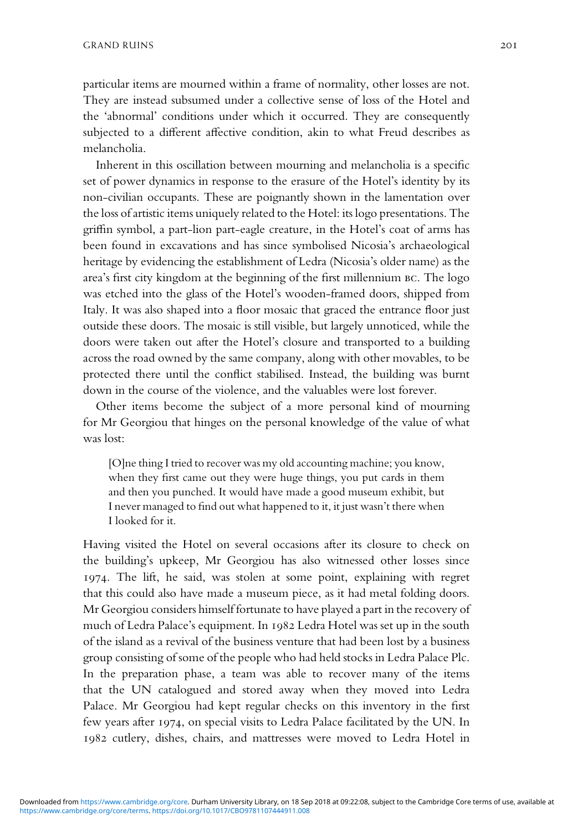particular items are mourned within a frame of normality, other losses are not. They are instead subsumed under a collective sense of loss of the Hotel and the 'abnormal' conditions under which it occurred. They are consequently subjected to a different affective condition, akin to what Freud describes as melancholia.

Inherent in this oscillation between mourning and melancholia is a specific set of power dynamics in response to the erasure of the Hotel's identity by its non-civilian occupants. These are poignantly shown in the lamentation over the loss of artistic items uniquely related to the Hotel: its logo presentations. The griffin symbol, a part-lion part-eagle creature, in the Hotel's coat of arms has been found in excavations and has since symbolised Nicosia's archaeological heritage by evidencing the establishment of Ledra (Nicosia's older name) as the area's first city kingdom at the beginning of the first millennium bc. The logo was etched into the glass of the Hotel's wooden-framed doors, shipped from Italy. It was also shaped into a floor mosaic that graced the entrance floor just outside these doors. The mosaic is still visible, but largely unnoticed, while the doors were taken out after the Hotel's closure and transported to a building across the road owned by the same company, along with other movables, to be protected there until the conflict stabilised. Instead, the building was burnt down in the course of the violence, and the valuables were lost forever.

Other items become the subject of a more personal kind of mourning for Mr Georgiou that hinges on the personal knowledge of the value of what was lost:

[O]ne thing I tried to recover was my old accounting machine; you know, when they first came out they were huge things, you put cards in them and then you punched. It would have made a good museum exhibit, but I never managed to find out what happened to it, it just wasn't there when I looked for it.

Having visited the Hotel on several occasions after its closure to check on the building's upkeep, Mr Georgiou has also witnessed other losses since 1974. The lift, he said, was stolen at some point, explaining with regret that this could also have made a museum piece, as it had metal folding doors. Mr Georgiou considers himself fortunate to have played a part in the recovery of much of Ledra Palace's equipment. In 1982 Ledra Hotel was set up in the south of the island as a revival of the business venture that had been lost by a business group consisting of some of the people who had held stocks in Ledra Palace Plc. In the preparation phase, a team was able to recover many of the items that the UN catalogued and stored away when they moved into Ledra Palace. Mr Georgiou had kept regular checks on this inventory in the first few years after 1974, on special visits to Ledra Palace facilitated by the UN. In 1982 cutlery, dishes, chairs, and mattresses were moved to Ledra Hotel in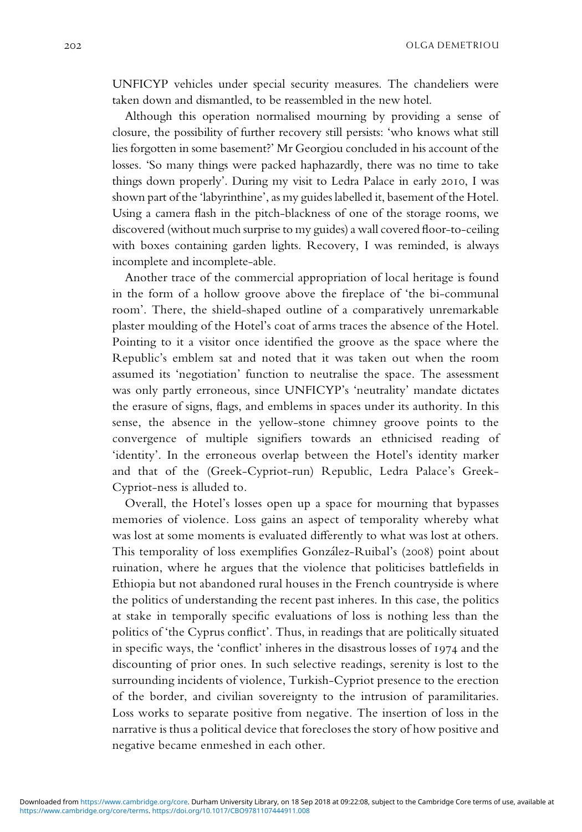UNFICYP vehicles under special security measures. The chandeliers were taken down and dismantled, to be reassembled in the new hotel.

Although this operation normalised mourning by providing a sense of closure, the possibility of further recovery still persists: 'who knows what still lies forgotten in some basement?' Mr Georgiou concluded in his account of the losses. 'So many things were packed haphazardly, there was no time to take things down properly'. During my visit to Ledra Palace in early 2010, I was shown part of the 'labyrinthine', as my guides labelled it, basement of the Hotel. Using a camera flash in the pitch-blackness of one of the storage rooms, we discovered (without much surprise to my guides) a wall covered floor-to-ceiling with boxes containing garden lights. Recovery, I was reminded, is always incomplete and incomplete-able.

Another trace of the commercial appropriation of local heritage is found in the form of a hollow groove above the fireplace of 'the bi-communal room'. There, the shield-shaped outline of a comparatively unremarkable plaster moulding of the Hotel's coat of arms traces the absence of the Hotel. Pointing to it a visitor once identified the groove as the space where the Republic's emblem sat and noted that it was taken out when the room assumed its 'negotiation' function to neutralise the space. The assessment was only partly erroneous, since UNFICYP's 'neutrality' mandate dictates the erasure of signs, flags, and emblems in spaces under its authority. In this sense, the absence in the yellow-stone chimney groove points to the convergence of multiple signifiers towards an ethnicised reading of 'identity'. In the erroneous overlap between the Hotel's identity marker and that of the (Greek-Cypriot-run) Republic, Ledra Palace's Greek-Cypriot-ness is alluded to.

Overall, the Hotel's losses open up a space for mourning that bypasses memories of violence. Loss gains an aspect of temporality whereby what was lost at some moments is evaluated differently to what was lost at others. This temporality of loss exemplifies González-Ruibal's (2008) point about ruination, where he argues that the violence that politicises battlefields in Ethiopia but not abandoned rural houses in the French countryside is where the politics of understanding the recent past inheres. In this case, the politics at stake in temporally specific evaluations of loss is nothing less than the politics of 'the Cyprus conflict'. Thus, in readings that are politically situated in specific ways, the 'conflict' inheres in the disastrous losses of 1974 and the discounting of prior ones. In such selective readings, serenity is lost to the surrounding incidents of violence, Turkish-Cypriot presence to the erection of the border, and civilian sovereignty to the intrusion of paramilitaries. Loss works to separate positive from negative. The insertion of loss in the narrative is thus a political device that forecloses the story of how positive and negative became enmeshed in each other.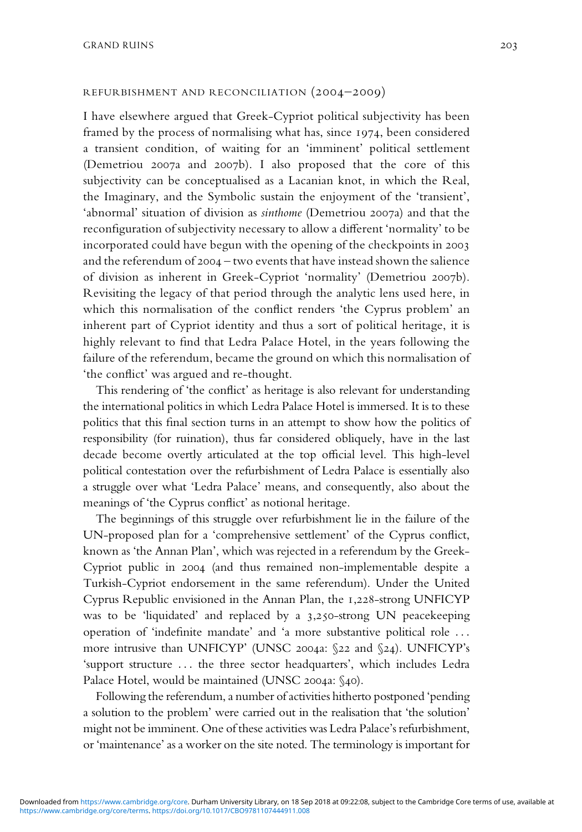### REFURBISHMENT AND RECONCILIATION (2004–2009)

I have elsewhere argued that Greek-Cypriot political subjectivity has been framed by the process of normalising what has, since 1974, been considered a transient condition, of waiting for an 'imminent' political settlement (Demetriou 2007a and 2007b). I also proposed that the core of this subjectivity can be conceptualised as a Lacanian knot, in which the Real, the Imaginary, and the Symbolic sustain the enjoyment of the 'transient', 'abnormal' situation of division as sinthome (Demetriou 2007a) and that the reconfiguration of subjectivity necessary to allow a different 'normality' to be incorporated could have begun with the opening of the checkpoints in 2003 and the referendum of 2004 – two events that have instead shown the salience of division as inherent in Greek-Cypriot 'normality' (Demetriou 2007b). Revisiting the legacy of that period through the analytic lens used here, in which this normalisation of the conflict renders 'the Cyprus problem' an inherent part of Cypriot identity and thus a sort of political heritage, it is highly relevant to find that Ledra Palace Hotel, in the years following the failure of the referendum, became the ground on which this normalisation of 'the conflict' was argued and re-thought.

This rendering of 'the conflict' as heritage is also relevant for understanding the international politics in which Ledra Palace Hotel is immersed. It is to these politics that this final section turns in an attempt to show how the politics of responsibility (for ruination), thus far considered obliquely, have in the last decade become overtly articulated at the top official level. This high-level political contestation over the refurbishment of Ledra Palace is essentially also a struggle over what 'Ledra Palace' means, and consequently, also about the meanings of 'the Cyprus conflict' as notional heritage.

The beginnings of this struggle over refurbishment lie in the failure of the UN-proposed plan for a 'comprehensive settlement' of the Cyprus conflict, known as 'the Annan Plan', which was rejected in a referendum by the Greek-Cypriot public in 2004 (and thus remained non-implementable despite a Turkish-Cypriot endorsement in the same referendum). Under the United Cyprus Republic envisioned in the Annan Plan, the 1,228-strong UNFICYP was to be 'liquidated' and replaced by a 3,250-strong UN peacekeeping operation of 'indefinite mandate' and 'a more substantive political role ... more intrusive than UNFICYP' (UNSC 2004a: §22 and §24). UNFICYP's 'support structure ... the three sector headquarters', which includes Ledra Palace Hotel, would be maintained (UNSC 2004a: §40).

Following the referendum, a number of activities hitherto postponed 'pending a solution to the problem' were carried out in the realisation that 'the solution' might not be imminent. One of these activities was Ledra Palace's refurbishment, or 'maintenance' as a worker on the site noted. The terminology is important for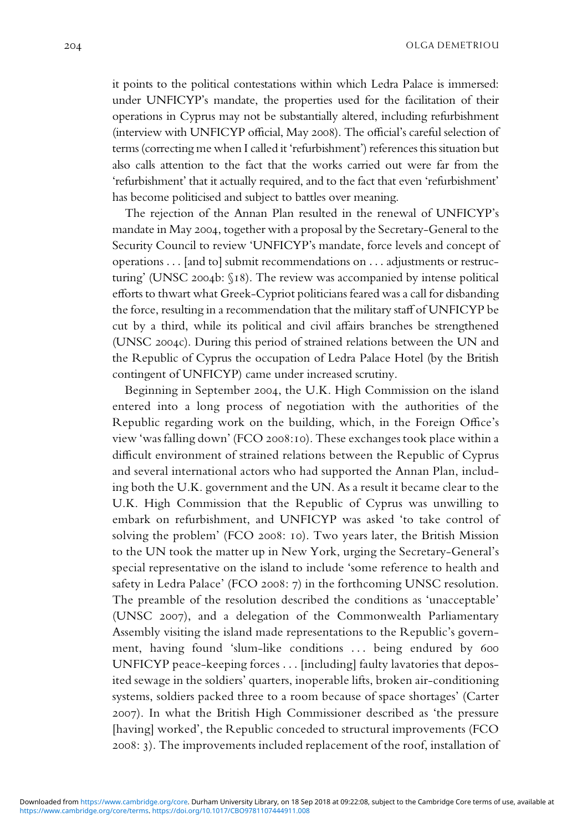it points to the political contestations within which Ledra Palace is immersed: under UNFICYP's mandate, the properties used for the facilitation of their operations in Cyprus may not be substantially altered, including refurbishment (interview with UNFICYP official, May 2008). The official's careful selection of terms (correcting me when I called it 'refurbishment') references this situation but also calls attention to the fact that the works carried out were far from the 'refurbishment' that it actually required, and to the fact that even 'refurbishment' has become politicised and subject to battles over meaning.

The rejection of the Annan Plan resulted in the renewal of UNFICYP's mandate in May 2004, together with a proposal by the Secretary-General to the Security Council to review 'UNFICYP's mandate, force levels and concept of operations ... [and to] submit recommendations on ... adjustments or restructuring' (UNSC 2004b: §18). The review was accompanied by intense political efforts to thwart what Greek-Cypriot politicians feared was a call for disbanding the force, resulting in a recommendation that the military staff of UNFICYP be cut by a third, while its political and civil affairs branches be strengthened (UNSC 2004c). During this period of strained relations between the UN and the Republic of Cyprus the occupation of Ledra Palace Hotel (by the British contingent of UNFICYP) came under increased scrutiny.

Beginning in September 2004, the U.K. High Commission on the island entered into a long process of negotiation with the authorities of the Republic regarding work on the building, which, in the Foreign Office's view 'was falling down' (FCO 2008:10). These exchanges took place within a difficult environment of strained relations between the Republic of Cyprus and several international actors who had supported the Annan Plan, including both the U.K. government and the UN. As a result it became clear to the U.K. High Commission that the Republic of Cyprus was unwilling to embark on refurbishment, and UNFICYP was asked 'to take control of solving the problem' (FCO 2008: 10). Two years later, the British Mission to the UN took the matter up in New York, urging the Secretary-General's special representative on the island to include 'some reference to health and safety in Ledra Palace' (FCO 2008: 7) in the forthcoming UNSC resolution. The preamble of the resolution described the conditions as 'unacceptable' (UNSC 2007), and a delegation of the Commonwealth Parliamentary Assembly visiting the island made representations to the Republic's government, having found 'slum-like conditions ... being endured by 600 UNFICYP peace-keeping forces ... [including] faulty lavatories that deposited sewage in the soldiers' quarters, inoperable lifts, broken air-conditioning systems, soldiers packed three to a room because of space shortages' (Carter 2007). In what the British High Commissioner described as 'the pressure [having] worked', the Republic conceded to structural improvements (FCO 2008: 3). The improvements included replacement of the roof, installation of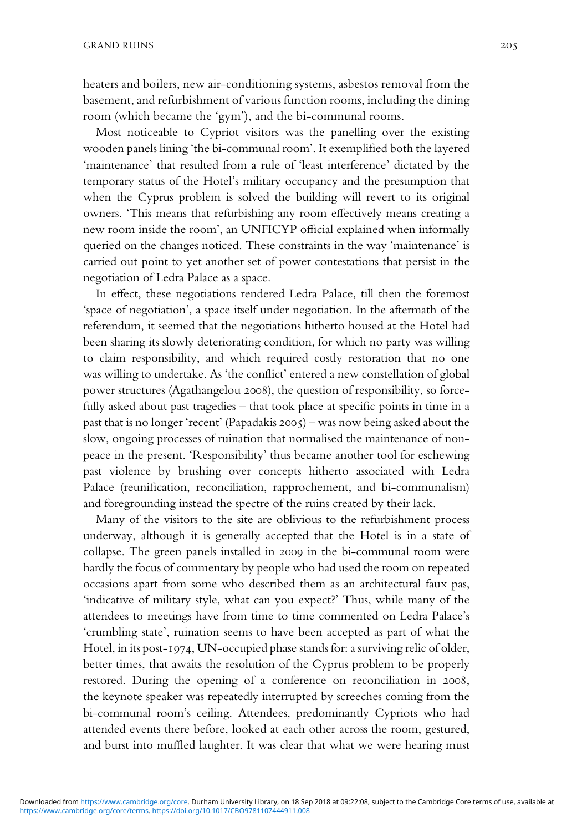Most noticeable to Cypriot visitors was the panelling over the existing wooden panels lining 'the bi-communal room'. It exemplified both the layered 'maintenance' that resulted from a rule of 'least interference' dictated by the temporary status of the Hotel's military occupancy and the presumption that when the Cyprus problem is solved the building will revert to its original owners. 'This means that refurbishing any room effectively means creating a new room inside the room', an UNFICYP official explained when informally queried on the changes noticed. These constraints in the way 'maintenance' is carried out point to yet another set of power contestations that persist in the negotiation of Ledra Palace as a space.

In effect, these negotiations rendered Ledra Palace, till then the foremost 'space of negotiation', a space itself under negotiation. In the aftermath of the referendum, it seemed that the negotiations hitherto housed at the Hotel had been sharing its slowly deteriorating condition, for which no party was willing to claim responsibility, and which required costly restoration that no one was willing to undertake. As 'the conflict' entered a new constellation of global power structures (Agathangelou 2008), the question of responsibility, so forcefully asked about past tragedies – that took place at specific points in time in a past that is no longer 'recent' (Papadakis 2005) – was now being asked about the slow, ongoing processes of ruination that normalised the maintenance of nonpeace in the present. 'Responsibility' thus became another tool for eschewing past violence by brushing over concepts hitherto associated with Ledra Palace (reunification, reconciliation, rapprochement, and bi-communalism) and foregrounding instead the spectre of the ruins created by their lack.

Many of the visitors to the site are oblivious to the refurbishment process underway, although it is generally accepted that the Hotel is in a state of collapse. The green panels installed in 2009 in the bi-communal room were hardly the focus of commentary by people who had used the room on repeated occasions apart from some who described them as an architectural faux pas, 'indicative of military style, what can you expect?' Thus, while many of the attendees to meetings have from time to time commented on Ledra Palace's 'crumbling state', ruination seems to have been accepted as part of what the Hotel, in its post-1974, UN-occupied phase stands for: a surviving relic of older, better times, that awaits the resolution of the Cyprus problem to be properly restored. During the opening of a conference on reconciliation in 2008, the keynote speaker was repeatedly interrupted by screeches coming from the bi-communal room's ceiling. Attendees, predominantly Cypriots who had attended events there before, looked at each other across the room, gestured, and burst into muffled laughter. It was clear that what we were hearing must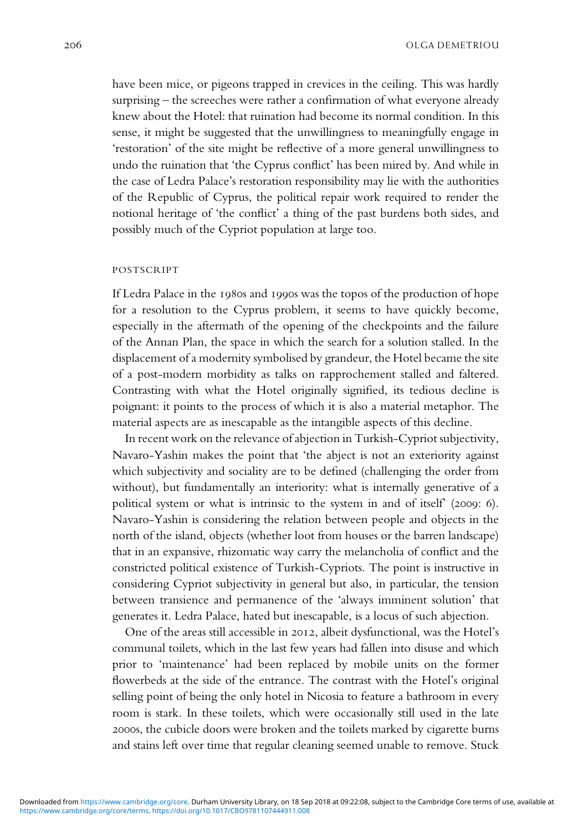have been mice, or pigeons trapped in crevices in the ceiling. This was hardly surprising – the screeches were rather a confirmation of what everyone already knew about the Hotel: that ruination had become its normal condition. In this sense, it might be suggested that the unwillingness to meaningfully engage in 'restoration' of the site might be reflective of a more general unwillingness to undo the ruination that 'the Cyprus conflict' has been mired by. And while in the case of Ledra Palace's restoration responsibility may lie with the authorities of the Republic of Cyprus, the political repair work required to render the notional heritage of 'the conflict' a thing of the past burdens both sides, and possibly much of the Cypriot population at large too.

#### POSTSCRIPT

If Ledra Palace in the 1980s and 1990s was the topos of the production of hope for a resolution to the Cyprus problem, it seems to have quickly become, especially in the aftermath of the opening of the checkpoints and the failure of the Annan Plan, the space in which the search for a solution stalled. In the displacement of a modernity symbolised by grandeur, the Hotel became the site of a post-modern morbidity as talks on rapprochement stalled and faltered. Contrasting with what the Hotel originally signified, its tedious decline is poignant: it points to the process of which it is also a material metaphor. The material aspects are as inescapable as the intangible aspects of this decline.

In recent work on the relevance of abjection in Turkish-Cypriot subjectivity, Navaro-Yashin makes the point that 'the abject is not an exteriority against which subjectivity and sociality are to be defined (challenging the order from without), but fundamentally an interiority: what is internally generative of a political system or what is intrinsic to the system in and of itself' (2009: 6). Navaro-Yashin is considering the relation between people and objects in the north of the island, objects (whether loot from houses or the barren landscape) that in an expansive, rhizomatic way carry the melancholia of conflict and the constricted political existence of Turkish-Cypriots. The point is instructive in considering Cypriot subjectivity in general but also, in particular, the tension between transience and permanence of the 'always imminent solution' that generates it. Ledra Palace, hated but inescapable, is a locus of such abjection.

One of the areas still accessible in 2012, albeit dysfunctional, was the Hotel's communal toilets, which in the last few years had fallen into disuse and which prior to 'maintenance' had been replaced by mobile units on the former flowerbeds at the side of the entrance. The contrast with the Hotel's original selling point of being the only hotel in Nicosia to feature a bathroom in every room is stark. In these toilets, which were occasionally still used in the late 2000s, the cubicle doors were broken and the toilets marked by cigarette burns and stains left over time that regular cleaning seemed unable to remove. Stuck